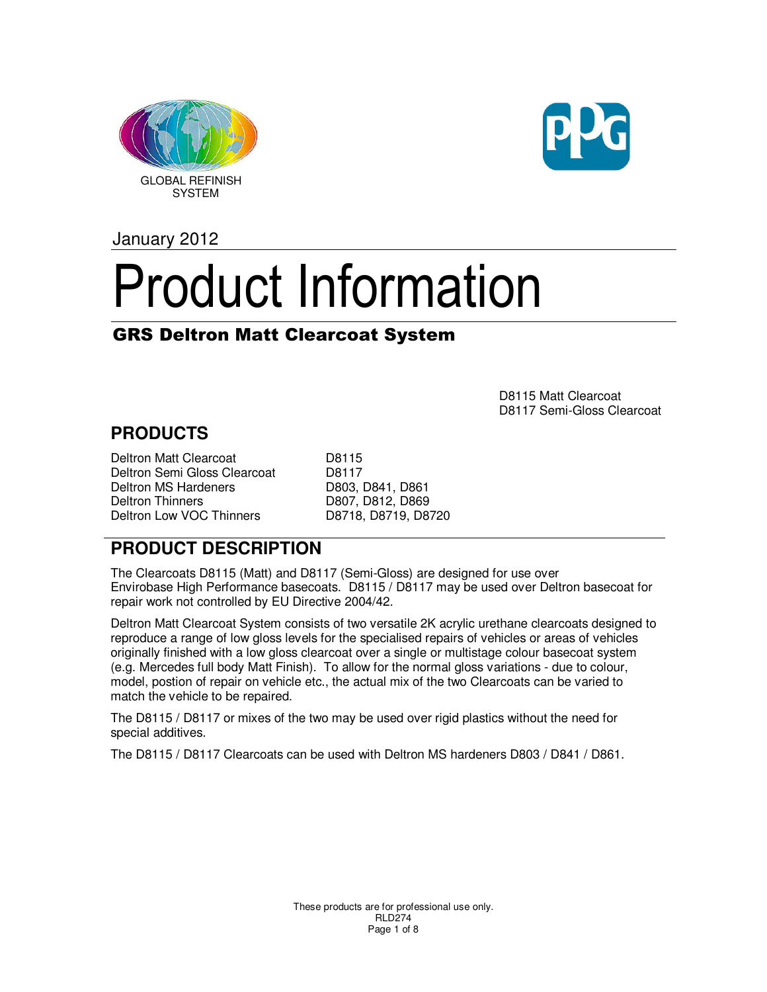



January 2012

# Product Information

## GRS Deltron Matt Clearcoat System

D8115 Matt Clearcoat D8117 Semi-Gloss Clearcoat

## **PRODUCTS**

Deltron Matt Clearcoat D8115 Deltron Semi Gloss Clearcoat D8117 Deltron MS Hardeners D803, D841, D861<br>Deltron Thinners D807, D812, D869 Deltron Low VOC Thinners D8718, D8719, D8720

D807, D812, D869

#### **PRODUCT DESCRIPTION**

The Clearcoats D8115 (Matt) and D8117 (Semi-Gloss) are designed for use over Envirobase High Performance basecoats. D8115 / D8117 may be used over Deltron basecoat for repair work not controlled by EU Directive 2004/42.

Deltron Matt Clearcoat System consists of two versatile 2K acrylic urethane clearcoats designed to reproduce a range of low gloss levels for the specialised repairs of vehicles or areas of vehicles originally finished with a low gloss clearcoat over a single or multistage colour basecoat system (e.g. Mercedes full body Matt Finish). To allow for the normal gloss variations - due to colour, model, postion of repair on vehicle etc., the actual mix of the two Clearcoats can be varied to match the vehicle to be repaired.

The D8115 / D8117 or mixes of the two may be used over rigid plastics without the need for special additives.

The D8115 / D8117 Clearcoats can be used with Deltron MS hardeners D803 / D841 / D861.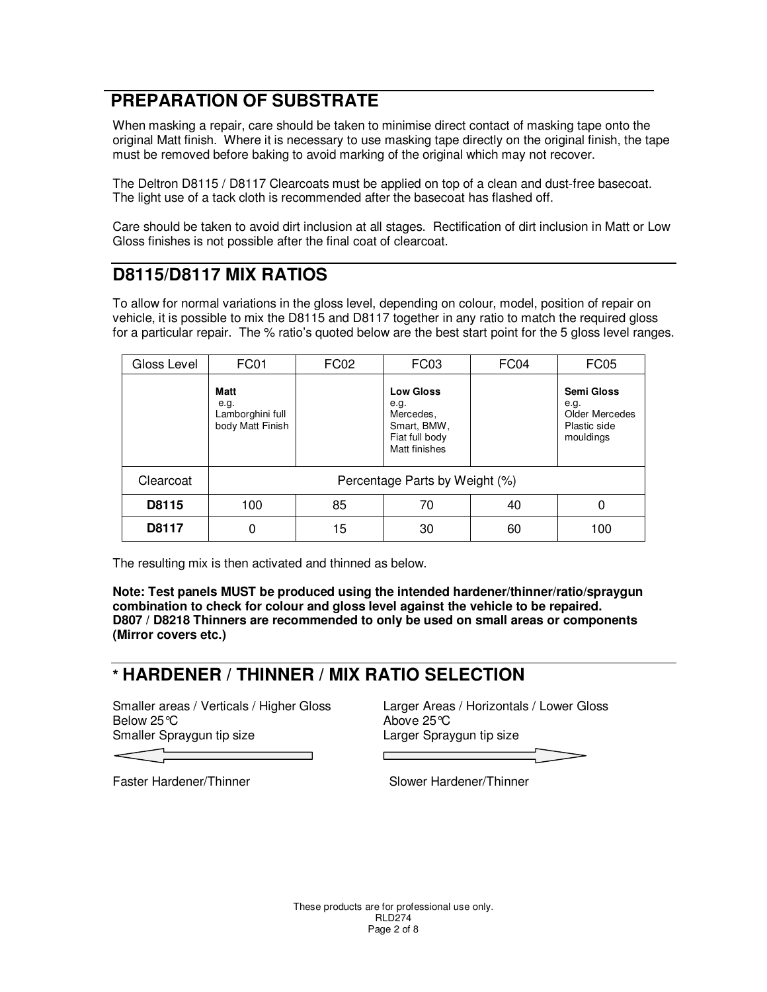# **PREPARATION OF SUBSTRATE**

When masking a repair, care should be taken to minimise direct contact of masking tape onto the original Matt finish. Where it is necessary to use masking tape directly on the original finish, the tape must be removed before baking to avoid marking of the original which may not recover.

The Deltron D8115 / D8117 Clearcoats must be applied on top of a clean and dust-free basecoat. The light use of a tack cloth is recommended after the basecoat has flashed off.

Care should be taken to avoid dirt inclusion at all stages. Rectification of dirt inclusion in Matt or Low Gloss finishes is not possible after the final coat of clearcoat.

#### **D8115/D8117 MIX RATIOS**

To allow for normal variations in the gloss level, depending on colour, model, position of repair on vehicle, it is possible to mix the D8115 and D8117 together in any ratio to match the required gloss for a particular repair. The % ratio's quoted below are the best start point for the 5 gloss level ranges.

| Gloss Level | FC01                                                        | FC <sub>02</sub> | FC <sub>03</sub>                                                                        | FC <sub>04</sub> | FC <sub>05</sub>                                                  |
|-------------|-------------------------------------------------------------|------------------|-----------------------------------------------------------------------------------------|------------------|-------------------------------------------------------------------|
|             | <b>Matt</b><br>e.g.<br>Lamborghini full<br>body Matt Finish |                  | <b>Low Gloss</b><br>e.g.<br>Mercedes,<br>Smart, BMW,<br>Fiat full body<br>Matt finishes |                  | Semi Gloss<br>e.g.<br>Older Mercedes<br>Plastic side<br>mouldings |
| Clearcoat   | Percentage Parts by Weight (%)                              |                  |                                                                                         |                  |                                                                   |
| D8115       | 100                                                         | 85               | 70                                                                                      | 40               | 0                                                                 |
| D8117       |                                                             | 15               | 30                                                                                      | 60               | 100                                                               |

The resulting mix is then activated and thinned as below.

**Note: Test panels MUST be produced using the intended hardener/thinner/ratio/spraygun combination to check for colour and gloss level against the vehicle to be repaired. D807 / D8218 Thinners are recommended to only be used on small areas or components (Mirror covers etc.)** 

#### **\* HARDENER / THINNER / MIX RATIO SELECTION**

Below 25℃ and the control of the Above 25℃ Smaller Spraygun tip size **Larger Spraygun tip size** Larger Spraygun tip size

Smaller areas / Verticals / Higher Gloss Larger Areas / Horizontals / Lower Gloss

Faster Hardener/Thinner Slower Hardener/Thinner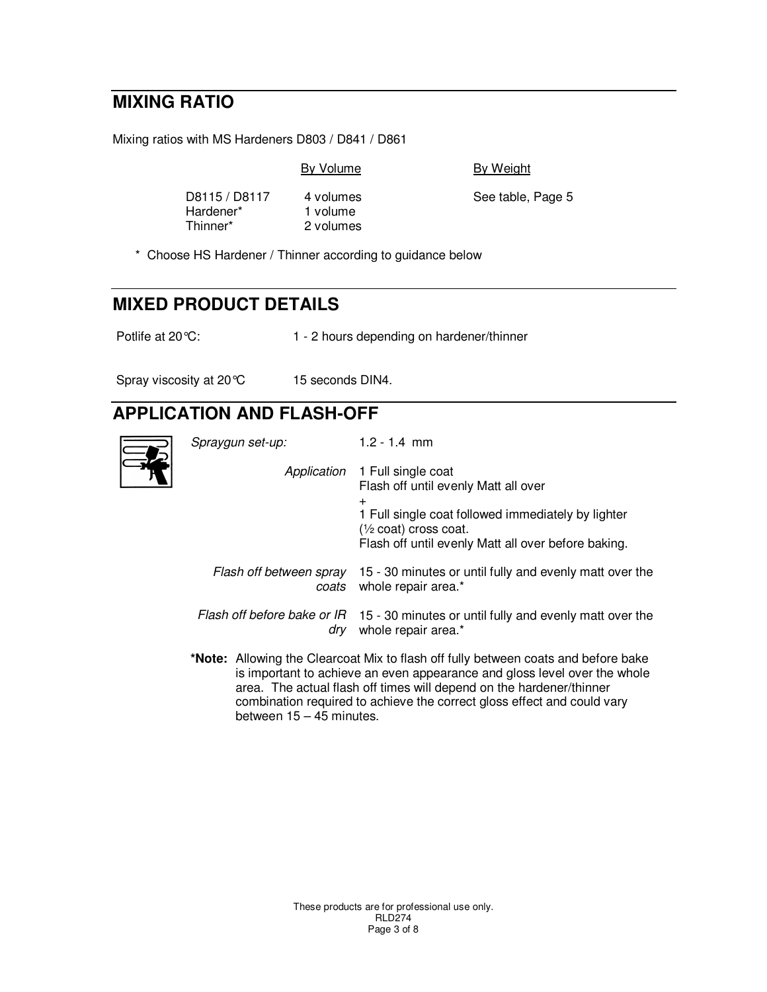# **MIXING RATIO**

Mixing ratios with MS Hardeners D803 / D841 / D861

By Volume By Weight

Hardener\* 1 volume<br>Thinner\* 2 volumes

2 volumes

D8115 / D8117 4 volumes See table, Page 5

\* Choose HS Hardener / Thinner according to guidance below

# **MIXED PRODUCT DETAILS**

Potlife at 20 °C: 1 - 2 hours depending on hardener/thinner

Spray viscosity at 20 °C 15 seconds DIN4.

# **APPLICATION AND FLASH-OFF**

| Spraygun set-up: | $1.2 - 1.4$ mm                                                                                                                                                                                                                          |
|------------------|-----------------------------------------------------------------------------------------------------------------------------------------------------------------------------------------------------------------------------------------|
|                  | Application 1 Full single coat<br>Flash off until evenly Matt all over<br>$^+$<br>1 Full single coat followed immediately by lighter<br>$\frac{1}{2}$ coat) cross coat.<br>Flash off until evenly Matt all over before baking.          |
| coats            | Flash off between spray 15 - 30 minutes or until fully and evenly matt over the<br>whole repair area.*                                                                                                                                  |
| drv              | Flash off before bake or $IR$ 15 - 30 minutes or until fully and evenly matt over the<br>whole repair area.*                                                                                                                            |
|                  | *Note: Allowing the Clearcoat Mix to flash off fully between coats and before bake<br>is important to achieve an even appearance and gloss level over the whole<br>aron. The actual flach off times will depend on the hardener/thinner |

 area. The actual flash off times will depend on the hardener/thinner combination required to achieve the correct gloss effect and could vary between  $15 - 45$  minutes.

> These products are for professional use only. RLD274 Page 3 of 8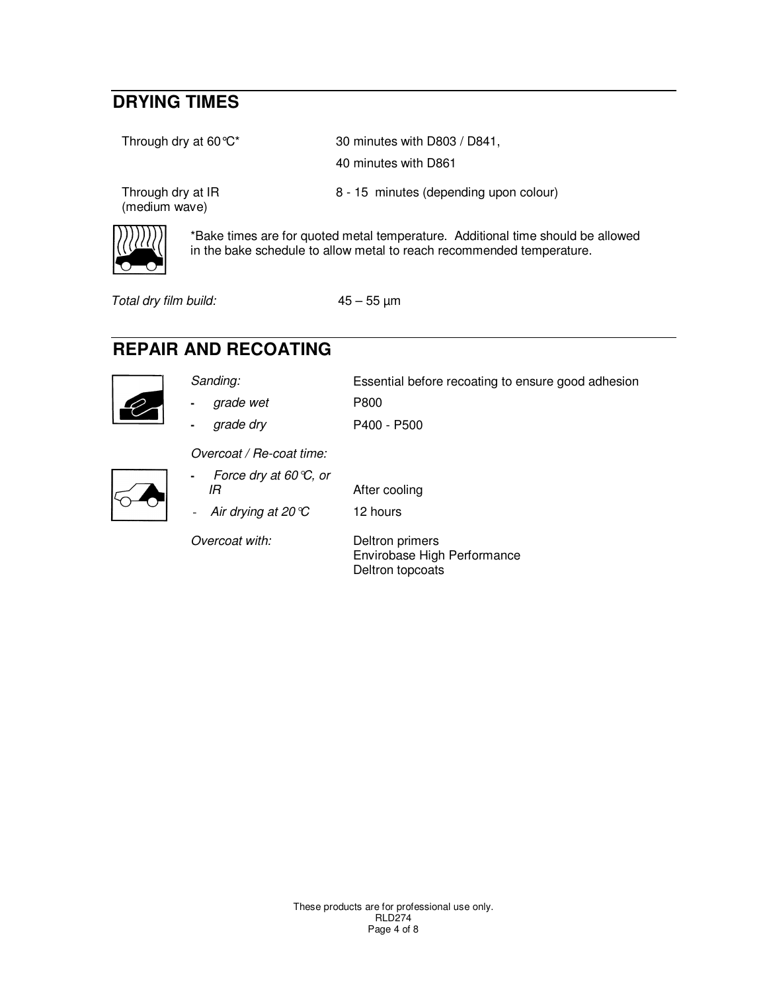# **DRYING TIMES**

Through dry at 60 °C\* 30 minutes with D803 / D841,

(medium wave)

40 minutes with D861

Through dry at IR 8 - 15 minutes (depending upon colour)

\*Bake times are for quoted metal temperature. Additional time should be allowed in the bake schedule to allow metal to reach recommended temperature.

Total dry film build: 45 – 55 µm

# **REPAIR AND RECOATING**



Sanding: Essential before recoating to ensure good adhesion **-** grade wet P800

**-** grade dry P400 - P500

Overcoat / Re-coat time:



**-** Force dry at 60°C, or IR After cooling Air drying at  $20^{\circ}$  12 hours

Overcoat with: Deltron primers Envirobase High Performance Deltron topcoats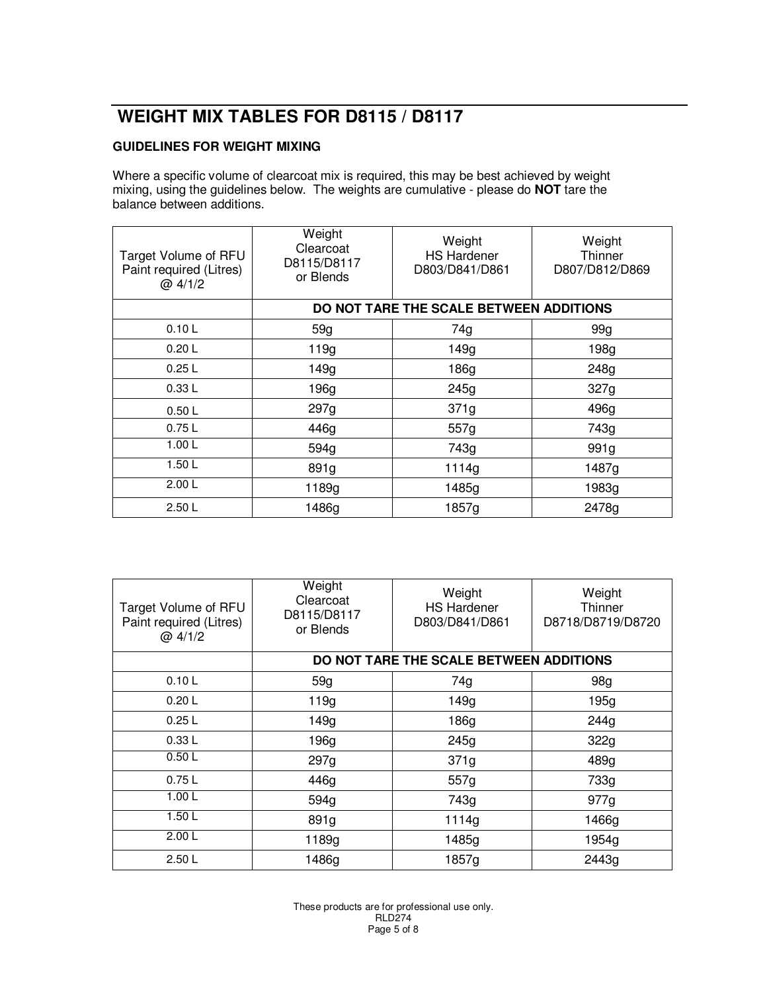# **WEIGHT MIX TABLES FOR D8115 / D8117**

#### **GUIDELINES FOR WEIGHT MIXING**

Where a specific volume of clearcoat mix is required, this may be best achieved by weight mixing, using the guidelines below. The weights are cumulative - please do **NOT** tare the balance between additions.

| Target Volume of RFU<br>Paint required (Litres)<br>@4/1/2 | Weight<br>Clearcoat<br>D8115/D8117<br>or Blends | Weight<br><b>HS Hardener</b><br>D803/D841/D861 | Weight<br>Thinner<br>D807/D812/D869 |
|-----------------------------------------------------------|-------------------------------------------------|------------------------------------------------|-------------------------------------|
|                                                           | DO NOT TARE THE SCALE BETWEEN ADDITIONS         |                                                |                                     |
| 0.10L                                                     | 59g                                             | 74g                                            | 99q                                 |
| 0.20L                                                     | 119g                                            | 149g                                           | 198g                                |
| 0.25L                                                     | 149g                                            | 186g                                           | 248g                                |
| 0.33L                                                     | 196g                                            | 245g                                           | 327g                                |
| 0.50L                                                     | 297g                                            | 371g                                           | 496g                                |
| 0.75L                                                     | 446g                                            | 557g                                           | 743g                                |
| 1.00L                                                     | 594g                                            | 743g                                           | 991g                                |
| 1.50L                                                     | 891g                                            | 1114g                                          | 1487g                               |
| 2.00L                                                     | 1189g                                           | 1485g                                          | 1983g                               |
| 2.50L                                                     | 1486g                                           | 1857g                                          | 2478g                               |

| Target Volume of RFU<br>Paint required (Litres)<br>@4/1/2 | Weight<br>Clearcoat<br>D8115/D8117<br>or Blends | Weight<br><b>HS Hardener</b><br>D803/D841/D861 | Weight<br>Thinner<br>D8718/D8719/D8720 |
|-----------------------------------------------------------|-------------------------------------------------|------------------------------------------------|----------------------------------------|
|                                                           | DO NOT TARE THE SCALE BETWEEN ADDITIONS         |                                                |                                        |
| 0.10L                                                     | 59g                                             | 74g                                            | 98g                                    |
| 0.20L                                                     | 119g                                            | 149g                                           | 195g                                   |
| 0.25L                                                     | 149g                                            | 186g                                           | 244g                                   |
| 0.33L                                                     | 196g                                            | 245g                                           | 322g                                   |
| 0.50L                                                     | 297g                                            | 371g                                           | 489g                                   |
| 0.75L                                                     | 446g                                            | 557g                                           | 733g                                   |
| 1.00 L                                                    | 594g                                            | 743g                                           | 977g                                   |
| 1.50L                                                     | 891g                                            | 1114g                                          | 1466g                                  |
| 2.00L                                                     | 1189g                                           | 1485g                                          | 1954g                                  |
| 2.50L                                                     | 1486g                                           | 1857g                                          | 2443g                                  |

These products are for professional use only. RLD274 Page 5 of 8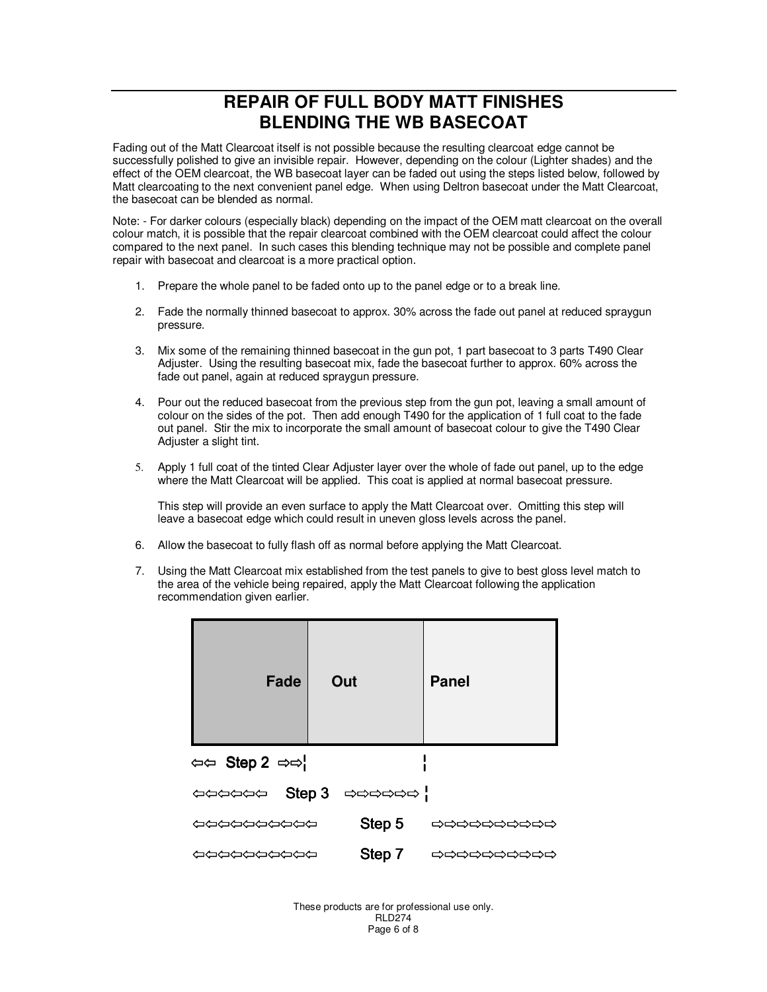#### **REPAIR OF FULL BODY MATT FINISHES BLENDING THE WB BASECOAT**

Fading out of the Matt Clearcoat itself is not possible because the resulting clearcoat edge cannot be successfully polished to give an invisible repair. However, depending on the colour (Lighter shades) and the effect of the OEM clearcoat, the WB basecoat layer can be faded out using the steps listed below, followed by Matt clearcoating to the next convenient panel edge. When using Deltron basecoat under the Matt Clearcoat, the basecoat can be blended as normal.

Note: - For darker colours (especially black) depending on the impact of the OEM matt clearcoat on the overall colour match, it is possible that the repair clearcoat combined with the OEM clearcoat could affect the colour compared to the next panel. In such cases this blending technique may not be possible and complete panel repair with basecoat and clearcoat is a more practical option.

- 1. Prepare the whole panel to be faded onto up to the panel edge or to a break line.
- 2. Fade the normally thinned basecoat to approx. 30% across the fade out panel at reduced spraygun pressure.
- 3. Mix some of the remaining thinned basecoat in the gun pot, 1 part basecoat to 3 parts T490 Clear Adjuster. Using the resulting basecoat mix, fade the basecoat further to approx. 60% across the fade out panel, again at reduced spraygun pressure.
- 4. Pour out the reduced basecoat from the previous step from the gun pot, leaving a small amount of colour on the sides of the pot. Then add enough T490 for the application of 1 full coat to the fade out panel. Stir the mix to incorporate the small amount of basecoat colour to give the T490 Clear Adjuster a slight tint.
- 5. Apply 1 full coat of the tinted Clear Adjuster layer over the whole of fade out panel, up to the edge where the Matt Clearcoat will be applied. This coat is applied at normal basecoat pressure.

This step will provide an even surface to apply the Matt Clearcoat over. Omitting this step will leave a basecoat edge which could result in uneven gloss levels across the panel.

- 6. Allow the basecoat to fully flash off as normal before applying the Matt Clearcoat.
- 7. Using the Matt Clearcoat mix established from the test panels to give to best gloss level match to the area of the vehicle being repaired, apply the Matt Clearcoat following the application recommendation given earlier.

| Fade                                   | Out                                                                                                                                                                                                                                                                                                                                                                                                                                                                                              | <b>Panel</b> |
|----------------------------------------|--------------------------------------------------------------------------------------------------------------------------------------------------------------------------------------------------------------------------------------------------------------------------------------------------------------------------------------------------------------------------------------------------------------------------------------------------------------------------------------------------|--------------|
| $\Leftrightarrow$ Step 2 $\Rightarrow$ |                                                                                                                                                                                                                                                                                                                                                                                                                                                                                                  |              |
|                                        | $\leftarrow$ $\leftarrow$ $\leftarrow$ $\leftarrow$ $\leftarrow$ $\leftarrow$ $\leftarrow$ $\leftarrow$ $\leftarrow$ $\leftarrow$ $\leftarrow$ $\leftarrow$ $\leftarrow$ $\leftarrow$ $\leftarrow$ $\leftarrow$ $\leftarrow$ $\leftarrow$ $\leftarrow$ $\leftarrow$ $\leftarrow$ $\leftarrow$ $\leftarrow$ $\leftarrow$ $\leftarrow$ $\leftarrow$ $\leftarrow$ $\leftarrow$ $\leftarrow$ $\leftarrow$ $\leftarrow$ $\leftarrow$ $\leftarrow$ $\leftarrow$ $\leftarrow$ $\leftarrow$ $\leftarrow$ |              |
| ひりひりひりひりつ                              | Step 5                                                                                                                                                                                                                                                                                                                                                                                                                                                                                           | りりりりりりりりり    |
| ひりひりひりつかり                              | Step 7                                                                                                                                                                                                                                                                                                                                                                                                                                                                                           | ウウウウウウウウウ    |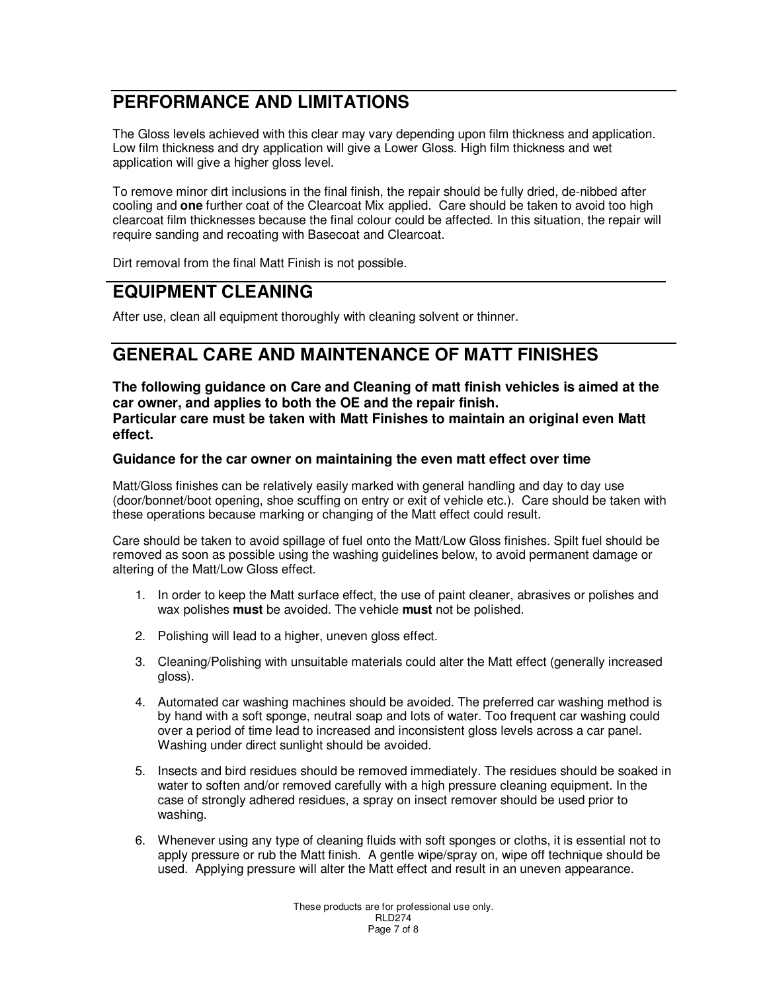# **PERFORMANCE AND LIMITATIONS**

The Gloss levels achieved with this clear may vary depending upon film thickness and application. Low film thickness and dry application will give a Lower Gloss. High film thickness and wet application will give a higher gloss level.

To remove minor dirt inclusions in the final finish, the repair should be fully dried, de-nibbed after cooling and **one** further coat of the Clearcoat Mix applied. Care should be taken to avoid too high clearcoat film thicknesses because the final colour could be affected. In this situation, the repair will require sanding and recoating with Basecoat and Clearcoat.

Dirt removal from the final Matt Finish is not possible.

#### **EQUIPMENT CLEANING**

After use, clean all equipment thoroughly with cleaning solvent or thinner.

## **GENERAL CARE AND MAINTENANCE OF MATT FINISHES**

**The following guidance on Care and Cleaning of matt finish vehicles is aimed at the car owner, and applies to both the OE and the repair finish. Particular care must be taken with Matt Finishes to maintain an original even Matt effect.** 

#### **Guidance for the car owner on maintaining the even matt effect over time**

Matt/Gloss finishes can be relatively easily marked with general handling and day to day use (door/bonnet/boot opening, shoe scuffing on entry or exit of vehicle etc.). Care should be taken with these operations because marking or changing of the Matt effect could result.

Care should be taken to avoid spillage of fuel onto the Matt/Low Gloss finishes. Spilt fuel should be removed as soon as possible using the washing guidelines below, to avoid permanent damage or altering of the Matt/Low Gloss effect.

- 1. In order to keep the Matt surface effect, the use of paint cleaner, abrasives or polishes and wax polishes **must** be avoided. The vehicle **must** not be polished.
- 2. Polishing will lead to a higher, uneven gloss effect.
- 3. Cleaning/Polishing with unsuitable materials could alter the Matt effect (generally increased gloss).
- 4. Automated car washing machines should be avoided. The preferred car washing method is by hand with a soft sponge, neutral soap and lots of water. Too frequent car washing could over a period of time lead to increased and inconsistent gloss levels across a car panel. Washing under direct sunlight should be avoided.
- 5. Insects and bird residues should be removed immediately. The residues should be soaked in water to soften and/or removed carefully with a high pressure cleaning equipment. In the case of strongly adhered residues, a spray on insect remover should be used prior to washing.
- 6. Whenever using any type of cleaning fluids with soft sponges or cloths, it is essential not to apply pressure or rub the Matt finish. A gentle wipe/spray on, wipe off technique should be used. Applying pressure will alter the Matt effect and result in an uneven appearance.